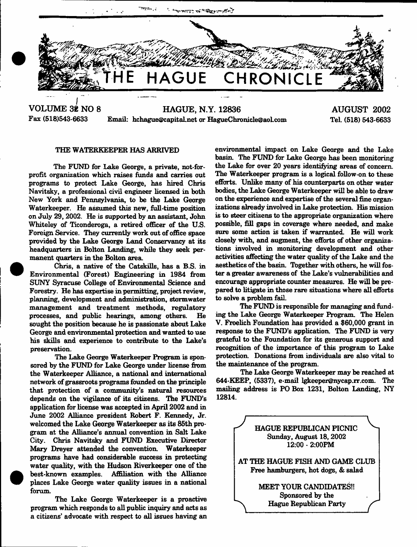

**VOLUME 32 NO 8** HAGUE, N.Y. 12836<br>Fax (518)543-6633 Email: he hague@capital.net.or HagueChri Email: [hchague@capital.net](mailto:hchague@capital.net) or HagueChronicle@aol.com

**AUGUST 2002** TeL (518) 543-6633

## THE WATERKEEPER HAS ARRIVED

The FUND for Lake George, a private, not-forprofit organization which raises funds and carries out programs to protect Lake George, has hired Chris Navitsky, a professional civil engineer licensed in both New York and Pennsylvania, to be the Lake George Waterkeeper. He assumed this new, full-time position on July 29,2002. He is supported by an assistant, John Whiteley of Ticonderoga, a retired officer of the US. Foreign Service. They currently work out of office space provided by the Lake George Land Conservancy at its headquarters in Bolton Landing, while they seek permanent quarters in the Bolton area

Chris, a native of the Catskills, has a B.S. in Environmental (Forest) Engineering in 1984 from SUNY Syracuse College of Environmental Science and Forestry. He has expertise in permitting, project review, planning, development and administration, stormwater management and treatment methods, regulatory processes, and public hearings, among others. He sought the position because he is passionate about Lake George and environmental protection and wanted to use his skills and experience to contribute to the Lake's preservation.

The Lake George Waterkeeper Program is sponsored by the FUND for Lake George under license from the Waterkeeper Alliance, a national and international network of grassroots programs founded on the principle that protection of a community's natural resources depends on the vigilance of its citizens. The FUND'S application for license was accepted in April 2002 and in June 2002 Alliance president Robert F. Kennedy, Jr. welcomed the Lake George Waterkeeper as its 85th program at the Alliance's annual convention in Salt Lake City. Chris Navitsky and FUND Executive Director Mary Dreyer attended the convention. Waterkeeper programs have had considerable success in protecting water quality, with the Hudson Riverkeeper one of the best-known examples. Affiliation with the Alliance places Lake George water quality issues in a national forum.

The Lake George Waterkeeper is a proactive program which responds to all public inquiry and acts as a citizens' advocate with respect to all issues having an

environmental impact on Lake George and the Lake basin. The FUND for Lake George has been monitoring the Lake for over 20 years identifying areas of concern. The Waterkeeper program is a logical follow-on to these efforts. Unlike many of his counterparts on other water bodies, the Lake George Waterkeeper will be able to draw on the experience and expertise of the several fine organizations already involved in Lake protection. His mission is to steer citizens to the appropriate organization where possible, fill gaps in coverage where needed, and make sure some action is taken if warranted. He will work closely with, and augment, the efforts of other organizations involved in monitoring development and other activities affecting the water quality of the Lake and the aesthetics of the basin. Together with others, he will foster a greater awareness of the Lake's vulnerabilities and encourage appropriate counter measures. He will be prepared to litigate in those rare situations where all efforts to solve a problem fail.

The FUND is responsible for managing and funding the Lake George Waterkeeper Program The Helen V. Froelich Foundation has provided a \$60,000 grant in response to the FUND'S application. The FUND is very grateful to the Foundation for its generous support and recognition of the importance of this program to Lake protection. Donations from individuals are also vital to the maintenance of the program

The Lake George Waterkeeper may be reached at 644-KEEP, (5337), e-mail [lgkeeper@nycap.rr.com](mailto:lgkeeper@nycap.rr.com). The mailing address is PO Box 1231, Bolton Landing, NY 12814.

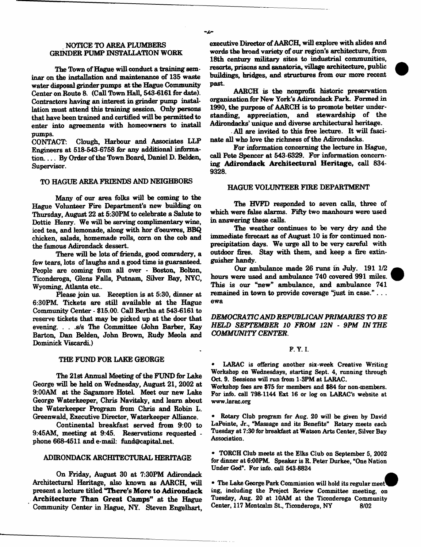## NOTICE TO AREA PLUMBERS GRINDER PUMP INSTALLATION WORK

The Town of Hague will conduct a training seminar on the installation and maintenance of 135 waste water disposal grinder pumps at the Hague Community Center on Route 8. (Call Town Hall, 543-6161 for date). Contractors having an interest in grinder pump installation must attend this training session. Only persons that have been trained and certified will be permitted to enter into agreements with homeowners to install pumps.

CONTACT; Clough, Harbour and Associates LLP Engineers at 518-543-6758 fin any additional information. . . . By Order of the Town Board, Daniel D. Belden. Supervisor.

# TO HAGUE AREA FRIENDS AND NEIGHBORS

Many of our area folks will be coming to the Hague Volunteer Fire Department's new building on Thursday, August 22 at 5:30PM to celebrate a Salute to Dottie Henry. We will be serving complimentary wine, iced tea, and lemonade, along with hor d'oeuvres, BBQ chicken, salads, homemade rolls, com on the cob and the famous Adirondack dessert.

There will be lots of friends, good comradery, a few tears, lots of laughs and a good time is guaranteed. People are coming from all over - Boston, Bolton, Ticonderoga, Glens Falls, Putnam, Silver Bay, NYC, Wyoming, Atlanta etc..

Please join us. Reception is at 5:30, dinner at 6:30PM. Tickets are still available at the Hague Community Center - \$15.00. Call Bertha at 543-6161 to reserve tickets that may be picked up at the door that evening. . . .s/s The Committee (John Barber, Kay Barton, Dan Belden, John Brown, Rudy Meola and Dominick Viscardi.)

#### THE FUND FOR LAKE GEORGE

The 21st Annual Meeting of the FUND for Lake George will he held on Wednesday, August 21, 2002 at 9:00AM at the Sagamore HoteL Meet our new Lake George Waterkeeper, Chris Navitsky, and learn about the Waterkeeper Program from Chris and Robin L. Greenwald, Executive Director, Waterkeeper Alliance.

Continental breakfast served from 9:00 to 9:45AM, meeting at 9:45. Reservations requested phone 668-4511 and e-mail: [fund@capital.net.](mailto:fund@capital.net)

## ADIRONDACK ARCHITECTURAL HERITAGE

On Friday, August 30 at 7:30PM Adirondack Architectural Heritage, also known as AARCH, will present a lecture titled "There's More to Adirondack Architecture Than Great Camps" at the Hague Community Center in Hague, NY. Steven Engelhart,

executive Director of AARCH, will explore with slides and words the broad variety of our region's architecture, from 18th century military sites to industrial communities, resorts, prisons and sanatoria, village architecture, public buildings, bridges, and structures from our more recent past.

AARCH is the nonprofit historic preservation organization for New York's Adirondack Park. Formed in 1990, the purpose of AARCH is to promote better understanding, appreciation, and stewardship of the Adirondacks' unique and diverse architectural heritage.

All are invited to this free lecture. It will fascinate all who love the richness of the Adirondacks.

For information concerning the lecture in Hague, call Pete Spencer at 543-6329. For information concerning Adirondack Architectural Heritage, call 834-9328.

## HAGUE VOLUNTEER FIRE DEPARTMENT

The HVFD responded to seven calls, three of which were false alarms. Fifty two manhours were used in answering these calls.

The weather continues to be very dry and the immediate forecast as of August 10 is for continued nonprecipitation days. We urge all to be very careful with outdoor fires. Stay with them, and keep a fire extinguisher handy.

Our ambulance made 26 runs in July. 191 1/2 hours were used and ambulance 740 covered 991 miles. This is our "new" ambulance, and ambulance 741 remained in town to provide coverage  $\gamma$ ust in case." . . . ewa

*DEMOCRATIC AND REPUBLICAN PRIMARIES TO BE HELD SEPTEMBER 10 FROM 12N* - *9PM IN THE COMMUNITY CENTER*.

## F. Y. I.

LARAC is offering another six-week Creative Writing Workshop on Wednesdays, starting Sept. 4, running through Oct. 9. Sessions will run from 1-3PM at LARAC.

Workshop fees are \$75 for members and \$84 for non-members. For info, call 798-1144 Ext 16 or log on LARAC's website at [www.larac.org](http://www.larac.org)

Rotary Club program for Aug. 20 will be given by David LaPointe, Jr., "Massage and its Benefits" Rotary meets each Tuesday at 7:30 for breakfast at Watson Arts Center, Silver Bay Association.

\* TORCH Club meets at the Elks Club on September 5, 2002 for dinner at 6:00PM. Speaker is R. Peter Durkee, "One Nation Under God". For info, call 543-8824

\* The Lake George Park Commission will hold its regular meet^ ing, including the Project Review Committee meeting, on Tuesday, Aug. 20 at 10AM at the Ticonderoga Community Center, 117 Montcalm St., Ticonderoga, NY 8/02

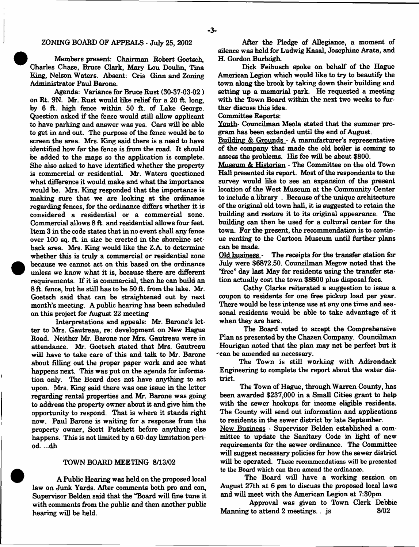## ZONING BOARD OF APPEALS - July 25, 2002

Members present: Chairman Robert Goetsch, Charles Chase, Bruce Clark, Mary Lou Doulin, Tina King, Nelson Waters. Absent: Cris Ginn and Zoning Administrator Paul Barone.

Agenda: Variance for Bruce Rust (30-37-03-02 ) on Rt. 9N. Mr. Rust would like relief for a 20 ft. long, by 6 ft. high fence within 50 ft. of Lake George. Question asked if the fence would still allow applicant to have parking and answer was yes. Cars will be able to get in and out. The purpose of the fence would be to screen the area. Mrs. King said there is a need to have identified how far the fence is from the road. It should be added to the maps so the application is complete. She also asked to have identified whether the property is commercial or residential. Mr. Waters questioned what difference it would make and what the importance would be. Mrs. King responded that the importance is making sure that we are looking at the ordinance regarding fences, for the ordinance differs whether it is considered a residential or a commercial zone. Commercial allows 8 ft. and residential allows four feet. Item 3 in the code states that in no event shall any fence over 100 sq. ft. in size be erected in the shoreline setback area. Mrs. King would like the Z.A to determine whether this is truly a commercial or residential zone because we cannot act on this based on the ordinance unless we know what it is, because there are different requirements. If it is commercial, then he can build an 8 ft. fence, but he still has to be 50 ft. from the lake. Mr. Goetsch said that can be straightened out by next month's meeting. A public hearing has been scheduled on this project for August 22 meeting

<sup>•</sup>

Interpretations and appeals: Mr. Barone's letter to Mrs. Gautreau, re: development on New Hague Road. Neither Mr. Barone nor Mrs. Gautreau were in attendance. Mr. Goetsch stated that Mrs. Gautreau will have to take care of this and talk to Mr. Barone about filling out the proper paper work and see what happens next. This was put on the agenda for information only. The Board does not have anything to act upon. Mrs. King said there was one issue in the letter regarding rental properties and Mr. Barone was going to address the property owner about it and give him the opportunity to respond. That is where it stands right now. Paul Barone is waiting for a response from the property owner, Scott Patchett before anything else happens. This is not limited by a 60-day limitation period. ...dh

## TOWN BOARD MEETING 8/13/02

A Public Hearing was held on the proposed local law on Junk Yards. After comments both pro and con, Supervisor Belden said that the "Board will fine tune it with comments from the public and then another public hearing will be held.

After the Pledge of Allegiance, a moment of silence was held for Ludwig Kasai, Josephine Arata, and H. Gordon Burleigh.

Dick Feibusch spoke on behalf of the Hague American Legion which would like to try to beautify the town along the brook by taking down their building and setting up a memorial park. He requested a meeting with the Town Board within the next two weeks to further discuss this idea.

## Committee Reports:

Youth- Councilman Meola stated that the summer program has been extended until the end of August.

Building & Grounds - A manufacturer's representative of the company that made the old boiler is coming to assess the problems. His fee will be about \$800.

Museum & Historian - The Committee on the old Town Hall presented its report. Most of the respondents to the survey would like to see an expansion of the present location of the West Museum at the Community Center to include a library . Because of the unique architecture of the original old town hall, it is suggested to retain the building and restore it to its original appearance. The building can then be used for a cultural center for the town. For the present, the recommendation is to continue renting to the Cartoon Museum until further plans can be made.<br>Old business

The receipts for the transfer station for July were \$6872.50. Councilman Megow noted that the 'Tree" day last May for residents using the transfer station actually cost the town \$8800 plus disposal fees.

Cathy Clarke reiterated a suggestion to issue a coupon to residents for one free pickup load per year. There would be less intense use at any one time and seasonal residents would be able to take advantage of it when they are here.

The Board voted to accept the Comprehensive Plan as presented by the Chazen Company. Councilman Hourigan noted that the plan may not be perfect but it \*'can be amended as necessary.

The Town is still working with Adirondack Engineering to complete the report about the water district.

The Town of Hague, through Warren County, has been awarded \$237,000 in a Small Cities grant to help with the sewer hookups for income eligible residents. The County will send out information and applications to residents in the sewer district by late September.

New Business - Supervisor Belden established a committee to update the Sanitary Code in light of new requirements for the sewer ordinance. The Committee will suggest necessary policies for how the sewer district will be operated. These recommendations will be presented to the Board which can then amend the ordinance.

The Board will have a working session on August 27th at 6 pm to discuss the proposed local laws and will meet with the American Legion at 7:30pm

Approval was given to Town Clerk Debbie Manning to attend 2 meetings. . js 8/02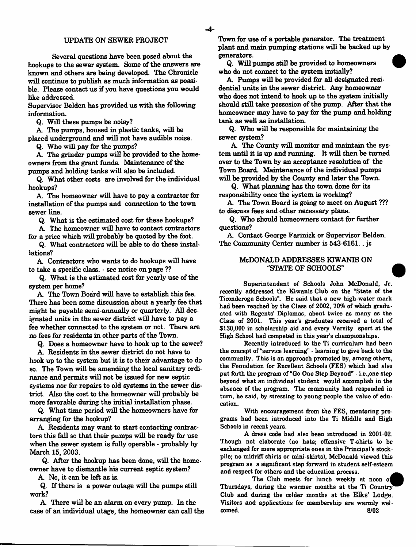#### UPDATE ON SEWER PROJECT

Several questions have been posed about the hookups to the sewer system. Some of the answers are known and others are being developed. The Chronicle will continue to publish as much information as possible. Please contact us if you have questions you would like addressed.

Supervisor Belden has provided us with the following information.

Q. Will these pumps be noisy?

A The pumps, housed in plastic tanks, will be

placed underground and will not have audible noise.

Q. Who will pay for the pumps?

A The grinder pumps will be provided to the homeowners from the grant funds. Maintenance of the pumps and holding tanks will also be included.

Q. What other costs are involved for the individual hookups?

A The homeowner will have to pay a contractor for installation of the pumps and connection to the town sewer line.

Q. What is the estimated cost for these hookups?

A The homeowner will have to contact contractors for a price which will probably be quoted by the foot.

Q. What contractors will be able to do these installations?

A Contractors who wants to do hookups will have to take a specific class. - see notice on page ??

Q. What is the estimated cost for yearly use of the system per home?

A The Town Board will have to establish this fee. There has been some discussion about a yearly fee that might be payable semi-annually or quarterly. All designated units in the sewer district will have to pay a fee whether connected to the system or not. There are no fees for residents in other parts of the Town.

Q. Does a homeowner have to hook up to the sewer?

A Residents in the sewer district do not have to hook up to the system but it is to their advantage to do so. The Town will be amending the local sanitary ordinance and permits will not be issued for new septic systems nor for repairs to old systems in the sewer district. Also the cost to the homeowner will probably be more favorable during the initial installation phase.

Q. What time period will the homeowners have for arranging for the hookup?

A Residents may want to start contacting contractors this fall so that their pumps will be ready for use when the sewer system is fully operable - probably by March 15, 2003.

Q. After the hookup has been done, will the homeowner have to dismantle his current septic system?

A No, it can be left as is.

Q. If there is a power outage will the pumps still work?

A There will be an alarm on every pump. In the case of an individual utage, the homeowner can call the

Town for use of a portable generator. The treatment plant and main pumping stations will be backed up by generators.

Q. Will pumps still be provided to homeowners who do not connect to the system initially?

A Pumps will be provided for all designated residential units in the sewer district. Any homeowner who does not intend to hook up to the system initially should still take possesion of the pump. After that the homeowner may have to pay for the pump and holding tank as well as installation.

Q. Who will be responsible for maintaining the sewer system?

A The County will monitor and maintain the system until it is up and running. It will then be turned over to the Town by an acceptance resolution of the Town Board. Maintenance of the individual pumps will be provided by the County and later the Town.

Q. What planning has the town done for its responsibility once the system is working?

A The Town Board is going to meet on August ??? to discuss fees and other necessary plans.

Q. Who should homeowners contact for further questions?

A Contact George Farinick or Supervisor Belden. The Community Center number is 543-6161.. js

## McDONALD ADDRESSES KIWANIS ON "STATE OF SCHOOLS"

Superintendent of Schools John McDonald, Jr. recently addressed the Kiwanis Club on the "State of the Ticonderoga Schools". He said that a new high-water mark had been reached by the Class of 2002, 70% of which graduated with Regents' Diplomas, about twice as many as the Class of 2001. This year's graduates received a total of \$130,000 in scholarship aid and every Varsity sport at the High School had competed in this year's championships.

Recently introduced to the Ti curriculum had been the concept of "service learning" - learning to give back to the community. This is an approach promoted by, among others, the Foundation for Excellent Schools (FES) which had also put forth the program of "Go One Step Beyond" - i.e.,one step beyond what an individual student would accomplish in the absence of the program. The community had responded in turn, he said, by stressing to young people the value of education.

With encouragement from the FES, mentoring programs had been introduced into the Ti Middle and High Schools in recent years.

A dress code had also been introduced in 2001-02. Though not elaborate (no hats; offensive T-shirts to be exchanged for more appropriate ones in the Principal's stockpile; no midriff shirts or mini-skirts), McDonald viewed this program as a significant step forward in student self-esteem and respect for others and the education process.

The Club meets for lunch weekly at noon oj Thursdays, during the warmer months at the Ti Country' Club and during the colder months at the Elks' Lodge. Visitors and applications for membership are warmly welcomed. 8/02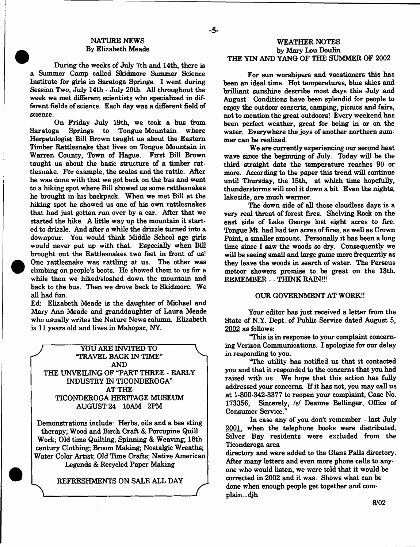## NATURE NEWS By Elizabeth Meade

During the weeks of July 7th and 14th, there is a Summer Camp called Skidmore Summer Science Institute for girls in Saratoga Springs. 1 went during Session Two, July 14th - July 20th. All throughout the week we met different scientists who specialized in different fields of science. Each day was a different field of science.

On Friday July 19th, we took a bus from<br>Saratoga Springs to Tongue Mountain where Springs to Tongue Mountain Herpetologist Bill Brown taught us about the Eastern Timber Rattlesnake that lives on Tongue Mountain in Warren County, Town of Hague. First Bill Brown taught us about the basic structure of a timber rattlesnake. For example, the scales and the rattle. After he was done with that we got back on the bus and went to a hiking spot where Bill showed us some rattlesnakes he brought in his backpack. When we met Bill at the hiking spot he showed us one of his own rattlesnakes that had just gotten run over by a car. After that we started the hike. A little way up the mountain it started to drizzle. And after a while the drizzle turned into a downpour. You would think Middle School age girls would never put up with that. Especially when Bill brought out the Rattlesnakes two feet in front of us! One rattlesnake was rattling at us. The other was climbing on people's boots. He showed them to us for a while then we hiked/sloshed down the mountain and back to the bus. Then we drove back to Skidmore. We all had fun.

Ed: Elizabeth Meade is the daughter of Michael and Mary Ann Meade and granddaughter of Laura Meade who usually writes the Nature News column. Elizabeth is 11 years old and lives in Mahopac, NY.

*J* YOU ARE INVITED TO **<sup>V</sup>** "TRAVEL BACK IN TIME" AND THE UNVEILING OF "PART THREE - EARLY INDUSTRY IN TICONDEROGA" AT THE TICONDEROGA HERITAGE MUSEUM AUGUST 24 - 10AM - 2FM

Demonstrations include: Herbs, oils and a bee sting therapy; Wood and Birch Craft & Porcupine Quill Work; Old time Quilting; Spinning & Weaving; 18th century Clothing; Broom Making; Nostalgic Wreaths; Water Color Artist; Old Time Crafts; Native American Legends & Recycled Paper Making

REFRESHMENTS ON SALE ALL DAY

## WEATHER NOTES by Mary Lou Doulin THE YIN AND YANG OF THE SUMMER OF 2002

For sun worshipers and vacationers this has been an ideal time. Hot temperatures, blue skies and brilliant sunshine describe most days this July and August. Conditions have been splendid for people to enjoy the outdoor concerts, camping, picnics and fairs, not to mention the great outdoors! Every weekend has been perfect weather, great for being in or on the water. Everywhere the joys of another northern summer can be realized.

We are currently experiencing our second heat wave since the beginning of July. Today will be the third straight date the temperature reaches 90 or more. According to the paper this trend will continue until Thursday, the 15th, at which time hopefully, thunderstorms will cool it down a bit. Even the nights, lakeside, are much warmer.

The down side of all these cloudless days is a very real threat of forest fires. Shelving Rock on the east side of Lake George lost eight acres to fire. Tongue Mt. had had ten acres of fires, as well as Crown Point, a smaller amount. Personally it has been a long time since I saw the woods so dry. Consequently we will be seeing small and large game more frequently as they leave the woods in search of water. The Perseus meteor showers promise to be great on the 13th. REMEMBER - - THINK RAIN!!!

#### OUR GOVERNMENT AT WORK!!

Your editor has just received a letter from the State of N.Y. Dept, of Public Service dated August 5, 2002 as follows:

"This is in response to your complaint concerning Verizon Communications. I apologize for our delay in responding to you.

"The utility has notified us that it contacted you and that it responded to the concerns that you had raised with us. We hope that this action has fully addressed your concerns. If it has not, you may call us at 1-800-342-3377 to reopen your complaint, Case No. 173356, Sincerely, *Isf* Deanne Bellinger, Office of Consumer Service."

In case any of you don't remember - last July 2001. when the telephone books were distributed, Silver Bay residents were excluded from the Ticonderoga area

directory and were added to the Glens Falls directory. After many letters and even more phone calls to anyone who would listen, we were told that it would be corrected in 2002 and it was. Shows what can be done when enough people get together and complain...djh

**8/02**

- **5**-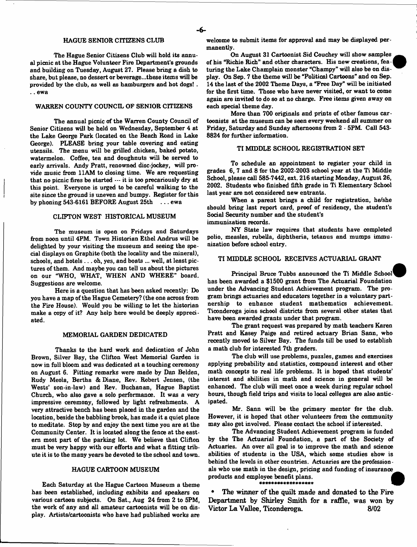#### HAGUE SENIOR CITIZENS CLUB

The Hague Senior Citizens Club will hold its annual picnic at the Hague Volunteer Fire Department's grounds and building on Tuesday, August 27. Please bring a dish to share, but please, no dessert or beverage...these items will be provided by the club, as well as hamburgers and hot dogs! . .. ewa

#### WARREN COUNTY COUNCIL OF SENIOR CITIZENS

The annual picnic of the Warren County Council of Senior Citizens will be held on Wednesday, September 4 at the Lake George Park (located on the Beach Road in Lake George). PLEASE bring your table covering and eating utensils. The menu will be grilled chicken, baked potato, watermelon. Coffee, tea and doughnuts will be served to early arrivals. Andy Pratt, renowned disc-jockey, will provide music from 11AM to closing time. We are requesting that no picnic fires be started — it is too precariously dry at this point. Everyone is urged to be careful walking to the site since the ground is uneven and bumpy. Register for this by phoning 543-6161 BEFORE August 25th . . . ewa

#### CLIFTON WEST HISTORICAL MUSEUM

The museum is open on Fridays and Saturdays from noon until 4PM. Town Historian Ethel Andrus will be delighted by your visiting the museum and seeing the special displays on Graphite (both the locality and the mineral), schools, and hotels . . . oh, yes, and boats ... well, at least pictures of them. And maybe you can tell us about the pictures on our "WHO, WHAT, WHEN AND WHERE'' board. Suggestions are welcome.

Here is a question that has been asked recently: Do you have a map of the Hague Cemetery? (the one across from the Fire House). Would you be willing to let the historian make a copy of it? Any help here would be deeply appreciated.

#### MEMORIAL GARDEN DEDICATED

Thanks to the hard work and dedication of John Brown, Silver Bay, the Clifton West Memorial Garden is now in full bloom and was dedicated at a touching ceremony on August 6. Fitting remarks were made by Dan Belden, Rudy Meola, Bertha & Diane, Rev. Robert Jensen, (the Wests' son-in-law) and Rev. Buchanan, Hague Baptist Church, who also gave a solo performance. It was a very impressive ceremony, followed by light refreshments. A very attractive bench has been placed in the garden and the location, beside the babbling brook, has made it a quiet place to meditate. Stop by and enjoy the next time you are at the Community Center. It is located along the fence at the eastern most part of the parking lot. We believe that Clifton must be very happy with our efforts and what a fitting tribute it is to the many years he devoted to the school and town.

#### HAGUE CARTOON MUSEUM

Each Saturday at the Hague Cartoon Museum a theme has been established, including exhibits and speakers on various cartoon subjects. On Sat., Aug 24 from 2 to 5PM, the work of any and all amateur cartoonists will be on display. Artists/cartoonists who have had published works are

welcome to submit items for approval and may be displayed permanently.

On August 31 Cartoonist Sid Couchey will show samples of his "Richie Rich" and other characters. His new creations, fea -| turing the Lake Champlain monster "Champy" will also be on display. On Sep. 7 the theme will be "Political Cartoons" and on Sep. 14 the last of the 2002 Theme Days, a "Free Day" will be initiated for the first time. Those who have never visited, or want to come again are invited to do so at no charge. Free items given away on each special theme day.

More than 700 originals and prints of other famous cartoonists at the museum can be seen every weekend all summer on Friday, Saturday and Sunday afternoons from 2 - 5PM. Call 543- 8824 for further information.

## TI MIDDLE SCHOOL REGISTRATION SET

To schedule an appointment to register your child in grades 6, 7 and 8 for the 2002-2003 school year at the Ti Middle School, please call 585-7442, ext. 216 starting Monday, August 26, 2002. Students who finished fifth grade in Ti Elementary School last year are not considered new entrants.

When a parent brings a child for registration, he/she should bring last report card, proof of residency, the student's Social Security number and the student's immunization records.

NY State law requires that students have completed polio, measles, rubella, diphtheria, tetanus and mumps immunization before school entry.

#### TI MIDDLE SCHOOL RECEIVES ACTUARIAL GRANT

Principal Bruce Tubbs announced the Ti Middle School has been awarded a \$1500 grant from The Actuarial Foundation under the Advancing Student Achievement program. The program brings actuaries and educators together in a voluntary partnership to enhance student mathematics achievement. Ticonderoga joins school districts from several other states that have been awarded grants under that program.

The grant request was prepared by math teachers Karen Pratt and Kasey Paige and retired actuary Brian Sann, who recently moved to Silver Bay. The funds till be used to establish a math dub for interested 7th graders.

The dub will use problems, puzzles, games and exerdses applying probability and statistics, compound interest and other math concepts to real life problems. It is hoped that students' interest and abilities in math and science in general will be enhanced. The dub will meet once a week during regular school hours, though field trips and visits to local colleges are also anticipated.

Mr. Sann will be the primary mentor for the dub. However, it is hoped that other volunteers from the community may also get involved. Please contact the school if interested.

The Advancing Student Achievement program is funded by the The Actuarial Foundation, a part of the Society of Actuaries. An over all goal is to improve the math and science abilities of students in the USA, which some studies show is behind the levels in other countries. Actuaries are the professionals who use math in the design, pricing and funding of insurance products and employee benefit plans.

The winner of the quilt made and donated to the Fire Department by Shirley Smith for a raffle, was won by Victor La Vallee, Ticonderoga. 6/02

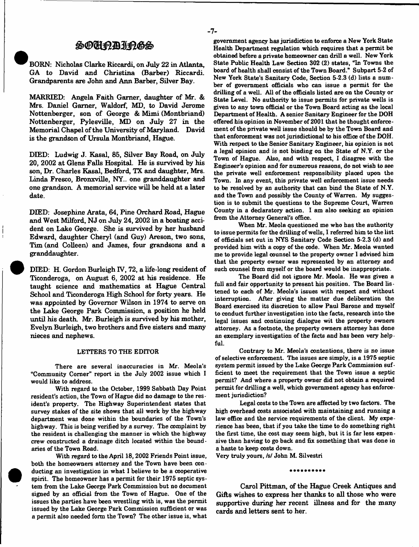# SOCHRAIRGS

BORN: Nicholas Clarke Riccardi, on July 22 in Atlanta, GA to David and Christina (Barber) Riccardi. Grandparents are John and Ann Barber, Silver Bay.

MARRIED: Angela Faith Gamer, daughter of Mr. & Mrs. Daniel Gamer, Waldorf, MD, to David Jerome Nottenberger, son of George & Mimi (Montbriand) Nottenberger, Pylesville, MD on July 27 in the Memorial Chapel of the University of Maryland. David is the grandson of Ursula Montbriand, Hague.

DIED: Ludwig J. Kasai, 85, Silver Bay Road, on July 20, 2002 at Glens Falls Hospital. He is survived by his son, Dr. Charles Kasai, Bedford, TX and daughter, Mrs. Linda Fresco, Bronxville, NY., one granddaughter and one grandson. A memorial service will be held at a later date.

DIED: Josephine Arata, 64, Pine Orchard Road, Hague and West Milford, NJ on July 24, 2002 in a boating accident on Lake George. She is survived by her husband Edward, daughter Cheryl (and Guy) Areson, two sons, Tim (and Colleen) and James, four grandsons and a granddaughter.

DIED: H. Gordon Burleigh IV, 72, a life-long resident of Ticonderoga, on August 6, 2002 at his residence. He taught science and mathematics at Hague Central School and Ticonderoga High School for forty years. He was appointed by Governor Wilson in 1974 to serve on the Lake George Park Commission, a position he held until his death. Mr. Burleigh is survived by his mother, Evelyn Burleigh, two brothers and five sisters and many nieces and nephews.

#### LETTERS TO THE EDITOR

There are several inaccuracies in Mr. Meola's "Community Corner" report in the July 2002 issue which I would like to address.

With regard to the October, 1999 Sabbath Day Point resident's action, the Town of Hague did no damage to the resident's property. The Highway Superintendent states that survey stakes of the site shows that all work by the highway department was done within the boundaries of the Town's highway. This is being verified by a survey. The complaint by the resident is challenging the manner in which the highway crew constructed a drainage ditch located within the bound aries of the Town Road.

With regard to the April 18,2002 Friends Point issue, both the homeowners attorney and the Town have been conducting an investigation in what 1 believe to be a cooperative spirit. The homeowner has a permit for their 1975 septic system from the Lake George Park Commission but no document signed by an official from the Town of Hague. One of the issues the parties have been wrestling with is, was the permit issued by the Lake George Park Commission sufficient or was a permit also needed form the Town? The other issue is, what

government agency has jurisdiction to enforce a New York State Health Department regulation which requires that a permit be obtained before a private homeowner can drill a well. New York State Public Health Law Section 302 (2) states, "In Towns the board of health shall consist of the Town Board." Subpart 5-2 of New York State's Sanitary Code, Section 5-2.3 (d) lists a number of government officials who can issue a permit for the drilling of a well. All of the officials listed are on the County or State Level. No authority to issue permits for private wells is given to any town official or the Town Board acting as the local Department of Health. A senior Sanitary Engineer for the DOH offered his opinion in November of 2001 that he thought enforcement of the private well issue should be by the Town Board and that enforcement was not jurisdictional to his office of the DOH. With respect to the Senior Sanitary Engineer, his opinion is not a legal opinion and is not binding on the State of N.Y. or the Town of Hague. Also, and with respect, I disagree with the Engineer's opinion and for numerous reasons, do not wish to see the private well enforcement responsibility placed upon the Town. In any event, this private well enforcement issue needs to be resolved by an authority that can bind the State of N.Y. and the Town and possibly the County of Warren. My suggestion is to submit the questions to the Supreme Court, Warren County in a declaratory action. I am also seeking an opinion from the Attorney General's office.

When Mr. Meola questioned me who has the authority to issue permits for the drilling of wells, I referred him to the list of officials set out in NYS Sanitary Code Section 5-2.3 (d) and provided him with a copy of the code. When Mr. Meola wanted me to provide legal counsel to the property owner I advised him that the property owner was represented by an attorney and such counsel from myself or the board would be inappropriate.

The Board did not ignore Mr. Meola. He was given a full and fair opportunity to present his position. The Board listened to each of Mr. Meola's issues with respect and without interruption. After giving the matter due deliberation the Board exercised its discretion to allow Paul Barone and myself to conduct further investigation into the facts, research into the legal issues and continuing dialogue wit the property owners attorney. As a footnote, the property owners attorney has done an exemplary investigation of the facts and has been very helpful.

Contrary to Mr. Meola's contentions, there is no issue of selective enforcement. The issues are simply, is a 1975 septic system permit issued by the Lake George Park Commission sufficient to meet the requirement that the Town issue a septic permit? And where a property owner did not obtain a required permit for drilling a well, which government agency has enforcement jurisdiction?

Legal costs to the Town are affected by two factors. The high overhead costs associated with maintaining and running a law office and the service requirements of the client. My experience has been, that if you take the time to do something right the first time, the cost may seem high, but it is far less expensive than having to go back and fix something that was done in a haste to keep costs down.

Very truly yours, /s/ John M. Silvestri

..........

Carol Pittman, of the Hague Creek Antiques and Gifts wishes to express her thanks to all those who were supportive during her recent illness and for the many cards and letters sent to her.